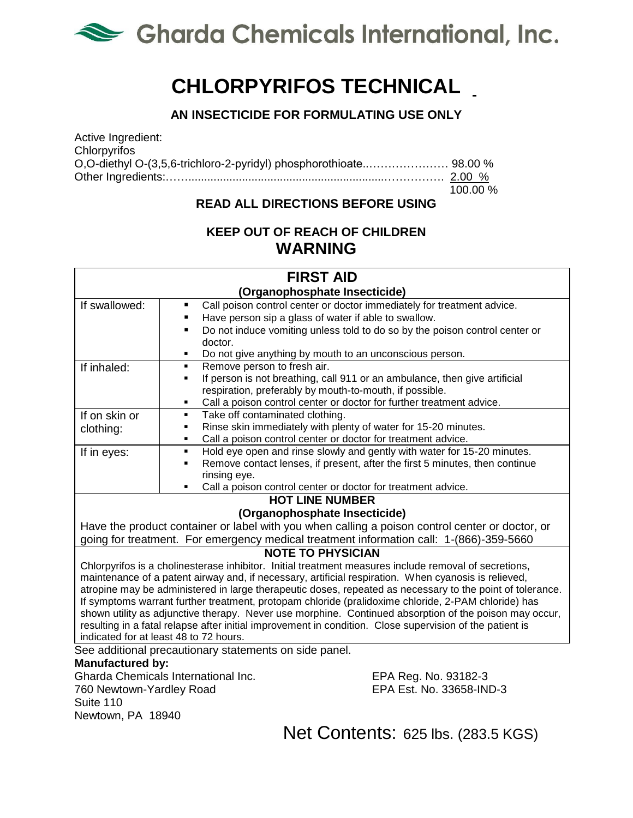

# **CHLORPYRIFOS TECHNICAL**

## **AN INSECTICIDE FOR FORMULATING USE ONLY**

Active Ingredient: **Chlorpyrifos** O,O-diethyl O-(3,5,6-trichloro-2-pyridyl) phosphorothioate..………………… 98.00 % Other Ingredients:……..............................................................……………. 2.00 %  $100.00 %$ 

### **READ ALL DIRECTIONS BEFORE USING**

## **KEEP OUT OF REACH OF CHILDREN WARNING**

| <b>FIRST AID</b>                                                                                          |                                                                                                                                                             |
|-----------------------------------------------------------------------------------------------------------|-------------------------------------------------------------------------------------------------------------------------------------------------------------|
| (Organophosphate Insecticide)                                                                             |                                                                                                                                                             |
| If swallowed:                                                                                             | Call poison control center or doctor immediately for treatment advice.<br>٠                                                                                 |
|                                                                                                           | Have person sip a glass of water if able to swallow.                                                                                                        |
|                                                                                                           | Do not induce vomiting unless told to do so by the poison control center or<br>$\blacksquare$                                                               |
|                                                                                                           | doctor.                                                                                                                                                     |
|                                                                                                           | Do not give anything by mouth to an unconscious person.<br>٠                                                                                                |
| If inhaled:                                                                                               | Remove person to fresh air.<br>٠                                                                                                                            |
|                                                                                                           | If person is not breathing, call 911 or an ambulance, then give artificial<br>Ξ                                                                             |
|                                                                                                           | respiration, preferably by mouth-to-mouth, if possible.                                                                                                     |
|                                                                                                           | Call a poison control center or doctor for further treatment advice.<br>٠                                                                                   |
| If on skin or                                                                                             | Take off contaminated clothing.<br>$\blacksquare$<br>٠                                                                                                      |
| clothing:                                                                                                 | Rinse skin immediately with plenty of water for 15-20 minutes.<br>٠                                                                                         |
|                                                                                                           | Call a poison control center or doctor for treatment advice.<br>$\blacksquare$                                                                              |
| If in eyes:                                                                                               | Hold eye open and rinse slowly and gently with water for 15-20 minutes.<br>Remove contact lenses, if present, after the first 5 minutes, then continue<br>٠ |
|                                                                                                           | rinsing eye.                                                                                                                                                |
|                                                                                                           | Call a poison control center or doctor for treatment advice.<br>٠                                                                                           |
| <b>HOT LINE NUMBER</b>                                                                                    |                                                                                                                                                             |
| (Organophosphate Insecticide)                                                                             |                                                                                                                                                             |
| Have the product container or label with you when calling a poison control center or doctor, or           |                                                                                                                                                             |
| going for treatment. For emergency medical treatment information call: 1-(866)-359-5660                   |                                                                                                                                                             |
| <b>NOTE TO PHYSICIAN</b>                                                                                  |                                                                                                                                                             |
| Chlorpyrifos is a cholinesterase inhibitor. Initial treatment measures include removal of secretions,     |                                                                                                                                                             |
| maintenance of a patent airway and, if necessary, artificial respiration. When cyanosis is relieved,      |                                                                                                                                                             |
| atropine may be administered in large therapeutic doses, repeated as necessary to the point of tolerance. |                                                                                                                                                             |
| If symptoms warrant further treatment, protopam chloride (pralidoxime chloride, 2-PAM chloride) has       |                                                                                                                                                             |
| shown utility as adjunctive therapy. Never use morphine. Continued absorption of the poison may occur,    |                                                                                                                                                             |
| resulting in a fatal relapse after initial improvement in condition. Close supervision of the patient is  |                                                                                                                                                             |
|                                                                                                           | indicated for at least 48 to 72 hours.                                                                                                                      |
| See additional precautionary statements on side panel.                                                    |                                                                                                                                                             |
| <b>Manufactured by:</b>                                                                                   |                                                                                                                                                             |
|                                                                                                           | Charda Chamicale International Inc<br>$EDA$ $DoA$ $N_A$ $03182.3$                                                                                           |

Gharda Chemicals International Inc. EPA Reg. No. 93182-3<br>760 Newtown-Yardlev Road EPA Est. No. 33658-IND-3 760 Newtown-Yardley Road Suite 110 Newtown, PA 18940

Net Contents: 625 lbs. (283.5 KGS)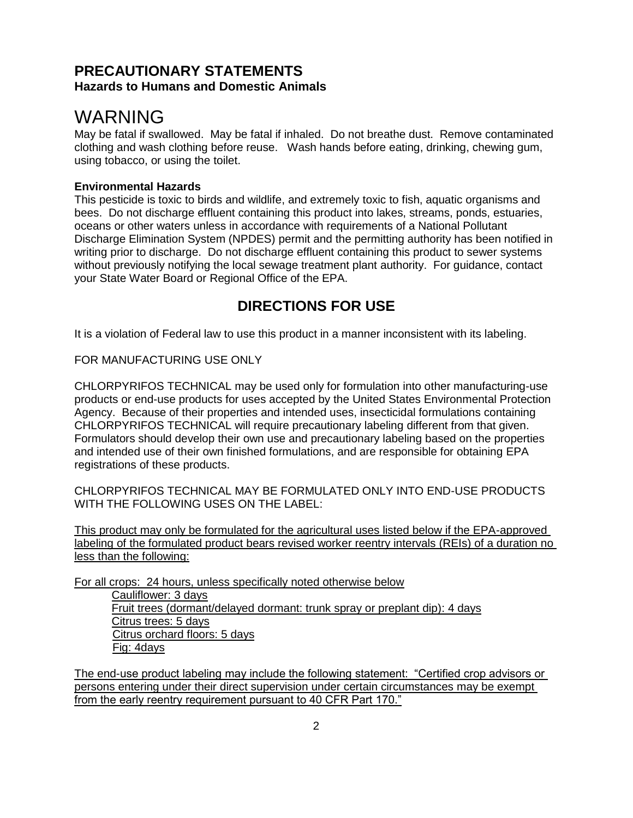### **PRECAUTIONARY STATEMENTS Hazards to Humans and Domestic Animals**

## WARNING

May be fatal if swallowed. May be fatal if inhaled. Do not breathe dust. Remove contaminated clothing and wash clothing before reuse. Wash hands before eating, drinking, chewing gum, using tobacco, or using the toilet.

### **Environmental Hazards**

This pesticide is toxic to birds and wildlife, and extremely toxic to fish, aquatic organisms and bees. Do not discharge effluent containing this product into lakes, streams, ponds, estuaries, oceans or other waters unless in accordance with requirements of a National Pollutant Discharge Elimination System (NPDES) permit and the permitting authority has been notified in writing prior to discharge. Do not discharge effluent containing this product to sewer systems without previously notifying the local sewage treatment plant authority. For guidance, contact your State Water Board or Regional Office of the EPA.

## **DIRECTIONS FOR USE**

It is a violation of Federal law to use this product in a manner inconsistent with its labeling.

FOR MANUFACTURING USE ONLY

CHLORPYRIFOS TECHNICAL may be used only for formulation into other manufacturing-use products or end-use products for uses accepted by the United States Environmental Protection Agency. Because of their properties and intended uses, insecticidal formulations containing CHLORPYRIFOS TECHNICAL will require precautionary labeling different from that given. Formulators should develop their own use and precautionary labeling based on the properties and intended use of their own finished formulations, and are responsible for obtaining EPA registrations of these products.

CHLORPYRIFOS TECHNICAL MAY BE FORMULATED ONLY INTO END-USE PRODUCTS WITH THE FOLLOWING USES ON THE LABEL:

This product may only be formulated for the agricultural uses listed below if the EPA-approved labeling of the formulated product bears revised worker reentry intervals (REIs) of a duration no less than the following:

For all crops: 24 hours, unless specifically noted otherwise below Cauliflower: 3 days Fruit trees (dormant/delayed dormant: trunk spray or preplant dip): 4 days Citrus trees: 5 days Citrus orchard floors: 5 days Fig: 4days

The end-use product labeling may include the following statement: "Certified crop advisors or persons entering under their direct supervision under certain circumstances may be exempt from the early reentry requirement pursuant to 40 CFR Part 170."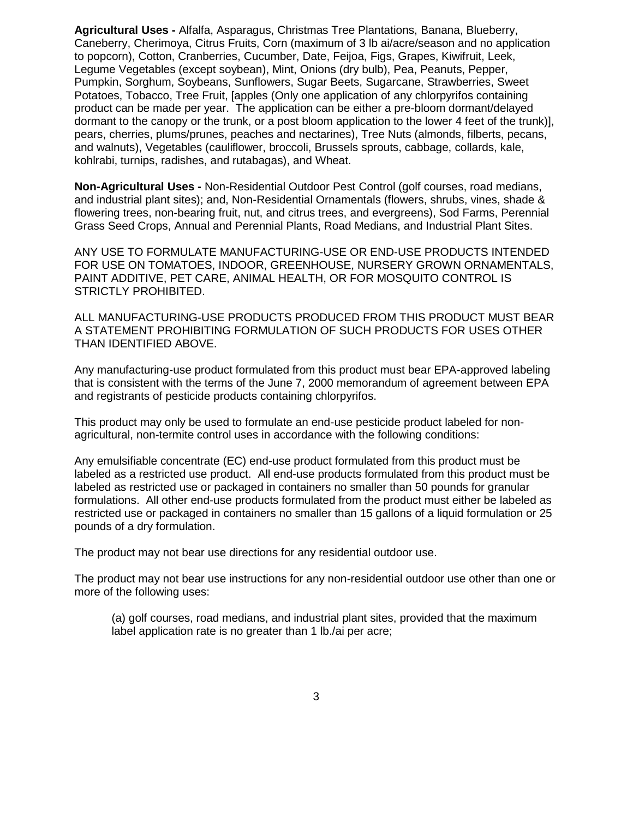**Agricultural Uses -** Alfalfa, Asparagus, Christmas Tree Plantations, Banana, Blueberry, Caneberry, Cherimoya, Citrus Fruits, Corn (maximum of 3 lb ai/acre/season and no application to popcorn), Cotton, Cranberries, Cucumber, Date, Feijoa, Figs, Grapes, Kiwifruit, Leek, Legume Vegetables (except soybean), Mint, Onions (dry bulb), Pea, Peanuts, Pepper, Pumpkin, Sorghum, Soybeans, Sunflowers, Sugar Beets, Sugarcane, Strawberries, Sweet Potatoes, Tobacco, Tree Fruit, [apples (Only one application of any chlorpyrifos containing product can be made per year. The application can be either a pre-bloom dormant/delayed dormant to the canopy or the trunk, or a post bloom application to the lower 4 feet of the trunk)], pears, cherries, plums/prunes, peaches and nectarines), Tree Nuts (almonds, filberts, pecans, and walnuts), Vegetables (cauliflower, broccoli, Brussels sprouts, cabbage, collards, kale, kohlrabi, turnips, radishes, and rutabagas), and Wheat.

**Non-Agricultural Uses -** Non-Residential Outdoor Pest Control (golf courses, road medians, and industrial plant sites); and, Non-Residential Ornamentals (flowers, shrubs, vines, shade & flowering trees, non-bearing fruit, nut, and citrus trees, and evergreens), Sod Farms, Perennial Grass Seed Crops, Annual and Perennial Plants, Road Medians, and Industrial Plant Sites.

ANY USE TO FORMULATE MANUFACTURING-USE OR END-USE PRODUCTS INTENDED FOR USE ON TOMATOES, INDOOR, GREENHOUSE, NURSERY GROWN ORNAMENTALS, PAINT ADDITIVE, PET CARE, ANIMAL HEALTH, OR FOR MOSQUITO CONTROL IS STRICTLY PROHIBITED.

ALL MANUFACTURING-USE PRODUCTS PRODUCED FROM THIS PRODUCT MUST BEAR A STATEMENT PROHIBITING FORMULATION OF SUCH PRODUCTS FOR USES OTHER THAN IDENTIFIED ABOVE.

Any manufacturing-use product formulated from this product must bear EPA-approved labeling that is consistent with the terms of the June 7, 2000 memorandum of agreement between EPA and registrants of pesticide products containing chlorpyrifos.

This product may only be used to formulate an end-use pesticide product labeled for nonagricultural, non-termite control uses in accordance with the following conditions:

Any emulsifiable concentrate (EC) end-use product formulated from this product must be labeled as a restricted use product. All end-use products formulated from this product must be labeled as restricted use or packaged in containers no smaller than 50 pounds for granular formulations. All other end-use products formulated from the product must either be labeled as restricted use or packaged in containers no smaller than 15 gallons of a liquid formulation or 25 pounds of a dry formulation.

The product may not bear use directions for any residential outdoor use.

The product may not bear use instructions for any non-residential outdoor use other than one or more of the following uses:

(a) golf courses, road medians, and industrial plant sites, provided that the maximum label application rate is no greater than 1 lb./ai per acre;